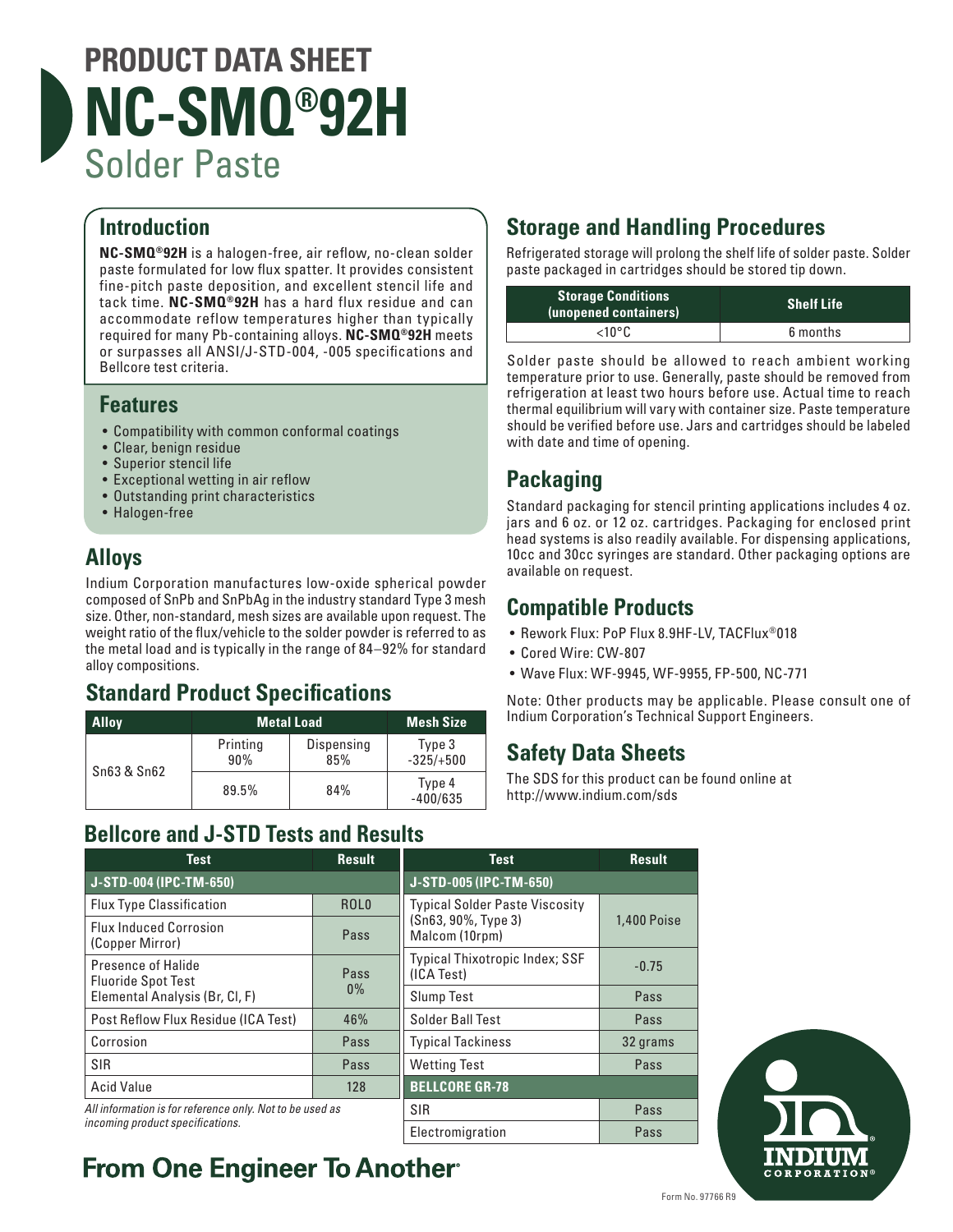# **PRODUCT DATA SHEET NC-SMQ®92H** Solder Paste

#### **Introduction**

**NC-SMQ®92H** is a halogen-free, air reflow, no-clean solder paste formulated for low flux spatter. It provides consistent fine-pitch paste deposition, and excellent stencil life and tack time. **NC-SMQ®92H** has a hard flux residue and can accommodate reflow temperatures higher than typically required for many Pb-containing alloys. **NC-SMQ®92H** meets or surpasses all ANSI/J-STD-004, -005 specifications and Bellcore test criteria.

#### **Features**

- Compatibility with common conformal coatings
- Clear, benign residue
- Superior stencil life
- Exceptional wetting in air reflow
- Outstanding print characteristics
- Halogen-free

#### **Alloys**

Indium Corporation manufactures low-oxide spherical powder composed of SnPb and SnPbAg in the industry standard Type 3 mesh size. Other, non-standard, mesh sizes are available upon request. The weight ratio of the flux/vehicle to the solder powder is referred to as the metal load and is typically in the range of 84–92% for standard alloy compositions.

### **Standard Product Specifications**

| <b>Alloy</b> | <b>Metal Load</b> |                   | <b>Mesh Size</b>      |
|--------------|-------------------|-------------------|-----------------------|
| Sn63 & Sn62  | Printing<br>90%   | Dispensing<br>85% | Type 3<br>$-325/+500$ |
|              | 89.5%             | 84%               | Type 4<br>$-400/635$  |

#### **Bellcore and J-STD Tests and Results**

## **Storage and Handling Procedures**

Refrigerated storage will prolong the shelf life of solder paste. Solder paste packaged in cartridges should be stored tip down.

| <b>Storage Conditions</b><br>(unopened containers) | <b>Shelf Life</b> |  |
|----------------------------------------------------|-------------------|--|
| ∠10°C.                                             | 6 months          |  |

Solder paste should be allowed to reach ambient working temperature prior to use. Generally, paste should be removed from refrigeration at least two hours before use. Actual time to reach thermal equilibrium will vary with container size. Paste temperature should be verified before use. Jars and cartridges should be labeled with date and time of opening.

### **Packaging**

Standard packaging for stencil printing applications includes 4 oz. jars and 6 oz. or 12 oz. cartridges. Packaging for enclosed print head systems is also readily available. For dispensing applications, 10cc and 30cc syringes are standard. Other packaging options are available on request.

#### **Compatible Products**

- Rework Flux: PoP Flux 8.9HF-LV, TACFlux®018
- Cored Wire: CW-807
- Wave Flux: WF-9945, WF-9955, FP-500, NC-771

Note: Other products may be applicable. Please consult one of Indium Corporation's Technical Support Engineers.

#### **Safety Data Sheets**

The SDS for this product can be found online at http://www.indium.com/sds

| Test                                                                                         | <b>Result</b>    | <b>Test</b>                                  | <b>Result</b>      |  |  |  |  |  |
|----------------------------------------------------------------------------------------------|------------------|----------------------------------------------|--------------------|--|--|--|--|--|
| J-STD-004 (IPC-TM-650)                                                                       |                  | J-STD-005 (IPC-TM-650)                       |                    |  |  |  |  |  |
| <b>Flux Type Classification</b>                                                              | ROL <sub>0</sub> | <b>Typical Solder Paste Viscosity</b>        |                    |  |  |  |  |  |
| <b>Flux Induced Corrosion</b><br>(Copper Mirror)                                             | Pass             | (Sn63, 90%, Type 3)<br>Malcom (10rpm)        | <b>1,400 Poise</b> |  |  |  |  |  |
| Presence of Halide<br><b>Fluoride Spot Test</b>                                              | Pass             | Typical Thixotropic Index; SSF<br>(ICA Test) | $-0.75$            |  |  |  |  |  |
| Elemental Analysis (Br, Cl, F)                                                               | $0\%$            | <b>Slump Test</b>                            | Pass               |  |  |  |  |  |
| Post Reflow Flux Residue (ICA Test)                                                          | 46%              | Solder Ball Test                             | Pass               |  |  |  |  |  |
| Corrosion                                                                                    | Pass             | <b>Typical Tackiness</b>                     | 32 grams           |  |  |  |  |  |
| <b>SIR</b>                                                                                   | Pass             | <b>Wetting Test</b>                          | <b>Pass</b>        |  |  |  |  |  |
| <b>Acid Value</b><br>128                                                                     |                  | <b>BELLCORE GR-78</b>                        |                    |  |  |  |  |  |
| All information is for reference only. Not to be used as<br>incoming product specifications. |                  | <b>SIR</b>                                   | Pass               |  |  |  |  |  |
|                                                                                              |                  | Electromigration                             | Pass               |  |  |  |  |  |



## **From One Engineer To Another**